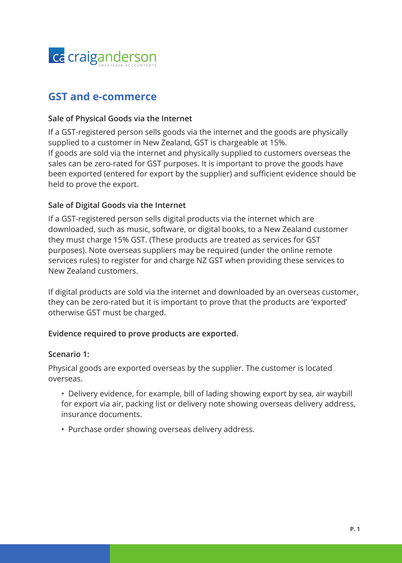

# **GST and e-commerce**

#### **Sale of Physical Goods via the Internet**

If a GST-registered person sells goods via the internet and the goods are physically supplied to a customer in New Zealand, GST is chargeable at 15%. If goods are sold via the internet and physically supplied to customers overseas the sales can be zero-rated for GST purposes. It is important to prove the goods have been exported (entered for export by the supplier) and sufficient evidence should be held to prove the export.

## **Sale of Digital Goods via the Internet**

If a GST-registered person sells digital products via the internet which are downloaded, such as music, software, or digital books, to a New Zealand customer they must charge 15% GST. (These products are treated as services for GST purposes). Note overseas suppliers may be required (under the online remote services rules) to register for and charge NZ GST when providing these services to New Zealand customers.

If digital products are sold via the internet and downloaded by an overseas customer, they can be zero-rated but it is important to prove that the products are 'exported' otherwise GST must be charged.

#### **Evidence required to prove products are exported.**

#### **Scenario 1:**

Physical goods are exported overseas by the supplier. The customer is located overseas.

- Delivery evidence, for example, bill of lading showing export by sea, air waybill for export via air, packing list or delivery note showing overseas delivery address, insurance documents.
- Purchase order showing overseas delivery address.